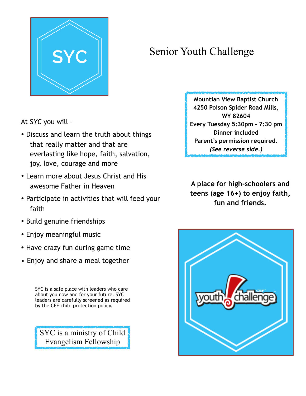

## Senior Youth Challenge

At S*YC* you will –

- Discuss and learn the truth about things that really matter and that are everlasting like hope, faith, salvation, joy, love, courage and more
- Learn more about Jesus Christ and His awesome Father in Heaven
- Participate in activities that will feed your faith
- Build genuine friendships
- Enjoy meaningful music
- Have crazy fun during game time
- Enjoy and share a meal together

SYC is a safe place with leaders who care about you now and for your future. SYC leaders are carefully screened as required by the CEF child protection policy.

SYC is a ministry of Child Evangelism Fellowship

**Mountian View Baptist Church 4250 Poison Spider Road Mills, WY 82604 Every Tuesday 5:30pm - 7:30 pm Dinner included Parent's permission required.** *(See reverse side.)*

**A place for high-schoolers and teens (age 16+) to enjoy faith, fun and friends.**